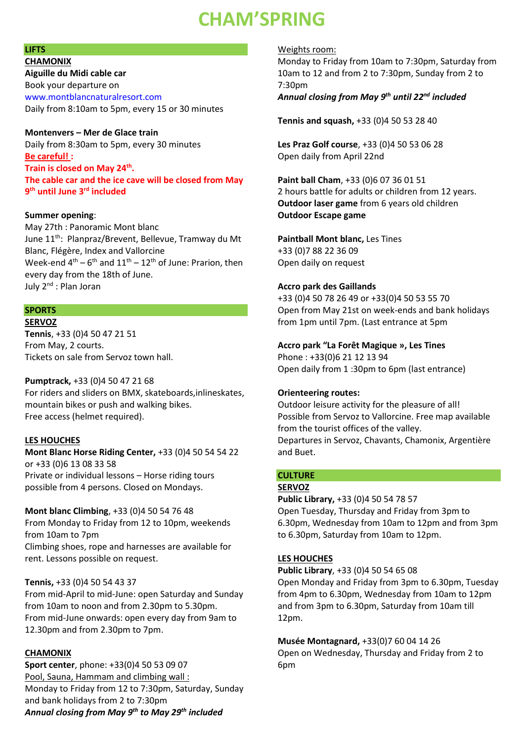# **CHAM'SPRING**

### **LIFTS**

**CHAMONIX Aiguille du Midi cable car**  Book your departure on www.montblancnaturalresort.com Daily from 8:10am to 5pm, every 15 or 30 minutes

#### **Montenvers – Mer de Glace train**

Daily from 8:30am to 5pm, every 30 minutes **Be careful! :** 

**Train is closed on May 24th . The cable car and the ice cave will be closed from May 9 th until June 3rd included** 

#### **Summer opening**:

May 27th : Panoramic Mont blanc June 11<sup>th</sup>: Planpraz/Brevent, Bellevue, Tramway du Mt Blanc, Flégère, Index and Vallorcine Week-end  $4<sup>th</sup> - 6<sup>th</sup>$  and  $11<sup>th</sup> - 12<sup>th</sup>$  of June: Prarion, then every day from the 18th of June. July 2nd : Plan Joran

#### **SPORTS**

#### **SERVOZ**

**Tennis**, +33 (0)4 50 47 21 51 From May, 2 courts. Tickets on sale from Servoz town hall.

#### **Pumptrack,** +33 (0)4 50 47 21 68

For riders and sliders on BMX, skateboards,inlineskates, mountain bikes or push and walking bikes. Free access (helmet required).

#### **LES HOUCHES**

**Mont Blanc Horse Riding Center,** +33 (0)4 50 54 54 22 or +33 (0)6 13 08 33 58 Private or individual lessons – Horse riding tours possible from 4 persons. Closed on Mondays.

#### **Mont blanc Climbing**, +33 (0)4 50 54 76 48

From Monday to Friday from 12 to 10pm, weekends from 10am to 7pm Climbing shoes, rope and harnesses are available for rent. Lessons possible on request.

#### **Tennis,** +33 (0)4 50 54 43 37

From mid-April to mid-June: open Saturday and Sunday from 10am to noon and from 2.30pm to 5.30pm. From mid-June onwards: open every day from 9am to 12.30pm and from 2.30pm to 7pm.

#### **CHAMONIX**

**Sport center**, phone: +33(0)4 50 53 09 07 Pool, Sauna, Hammam and climbing wall : Monday to Friday from 12 to 7:30pm, Saturday, Sunday and bank holidays from 2 to 7:30pm *Annual closing from May 9th to May 29th included*

Weights room:

Monday to Friday from 10am to 7:30pm, Saturday from 10am to 12 and from 2 to 7:30pm, Sunday from 2 to 7:30pm

# *Annual closing from May 9th until 22nd included*

**Tennis and squash,** +33 (0)4 50 53 28 40

**Les Praz Golf course**, +33 (0)4 50 53 06 28 Open daily from April 22nd

**Paint ball Cham**, +33 (0)6 07 36 01 51 2 hours battle for adults or children from 12 years. **Outdoor laser game** from 6 years old children **Outdoor Escape game** 

**Paintball Mont blanc,** Les Tines +33 (0)7 88 22 36 09 Open daily on request

#### **Accro park des Gaillands**

+33 (0)4 50 78 26 49 or +33(0)4 50 53 55 70 Open from May 21st on week-ends and bank holidays from 1pm until 7pm. (Last entrance at 5pm

#### **Accro park "La Forêt Magique », Les Tines**

Phone : +33(0)6 21 12 13 94 Open daily from 1 :30pm to 6pm (last entrance)

#### **Orienteering routes:**

Outdoor leisure activity for the pleasure of all! Possible from Servoz to Vallorcine. Free map available from the tourist offices of the valley. Departures in Servoz, Chavants, Chamonix, Argentière and Buet.

#### **CULTURE**

#### **SERVOZ**

**Public Library,** +33 (0)4 50 54 78 57 Open Tuesday, Thursday and Friday from 3pm to 6.30pm, Wednesday from 10am to 12pm and from 3pm to 6.30pm, Saturday from 10am to 12pm.

#### **LES HOUCHES**

**Public Library**, +33 (0)4 50 54 65 08 Open Monday and Friday from 3pm to 6.30pm, Tuesday from 4pm to 6.30pm, Wednesday from 10am to 12pm and from 3pm to 6.30pm, Saturday from 10am till 12pm.

**Musée Montagnard,** +33(0)7 60 04 14 26 Open on Wednesday, Thursday and Friday from 2 to 6pm